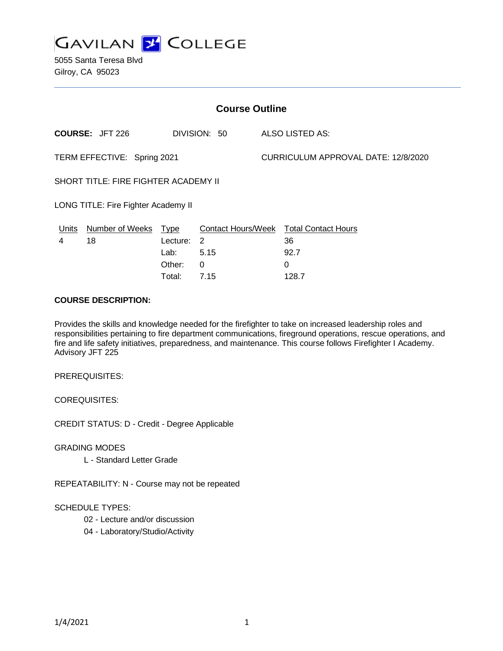

5055 Santa Teresa Blvd Gilroy, CA 95023

| <b>Course Outline</b>                |                        |             |              |                                     |                                        |
|--------------------------------------|------------------------|-------------|--------------|-------------------------------------|----------------------------------------|
|                                      | <b>COURSE: JFT 226</b> |             | DIVISION: 50 |                                     | ALSO LISTED AS:                        |
| TERM EFFECTIVE: Spring 2021          |                        |             |              | CURRICULUM APPROVAL DATE: 12/8/2020 |                                        |
| SHORT TITLE: FIRE FIGHTER ACADEMY II |                        |             |              |                                     |                                        |
| LONG TITLE: Fire Fighter Academy II  |                        |             |              |                                     |                                        |
| <u>Units</u>                         | Number of Weeks        | <u>Type</u> |              |                                     | Contact Hours/Week Total Contact Hours |
| 4                                    | 18                     | Lecture: 2  |              |                                     | 36                                     |
|                                      |                        | Lab:        | 5.15         |                                     | 92.7                                   |
|                                      |                        | Other:      | 0            |                                     | 0                                      |
|                                      |                        | Total:      | 7.15         |                                     | 128.7                                  |

#### **COURSE DESCRIPTION:**

Provides the skills and knowledge needed for the firefighter to take on increased leadership roles and responsibilities pertaining to fire department communications, fireground operations, rescue operations, and fire and life safety initiatives, preparedness, and maintenance. This course follows Firefighter I Academy. Advisory JFT 225

PREREQUISITES:

COREQUISITES:

CREDIT STATUS: D - Credit - Degree Applicable

GRADING MODES

L - Standard Letter Grade

REPEATABILITY: N - Course may not be repeated

#### SCHEDULE TYPES:

- 02 Lecture and/or discussion
- 04 Laboratory/Studio/Activity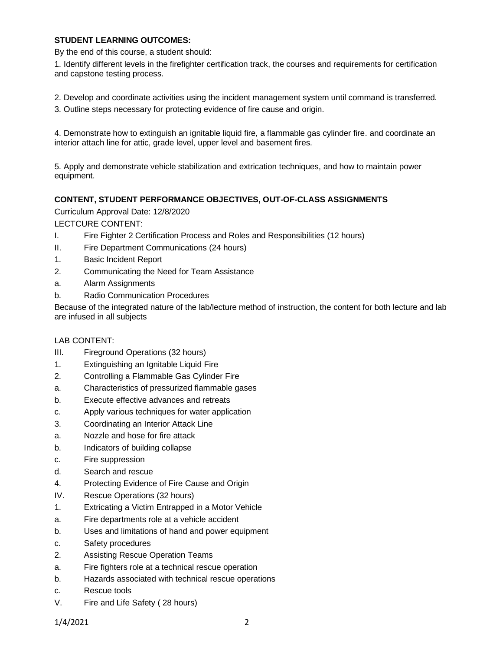## **STUDENT LEARNING OUTCOMES:**

By the end of this course, a student should:

1. Identify different levels in the firefighter certification track, the courses and requirements for certification and capstone testing process.

- 2. Develop and coordinate activities using the incident management system until command is transferred.
- 3. Outline steps necessary for protecting evidence of fire cause and origin.

4. Demonstrate how to extinguish an ignitable liquid fire, a flammable gas cylinder fire. and coordinate an interior attach line for attic, grade level, upper level and basement fires.

5. Apply and demonstrate vehicle stabilization and extrication techniques, and how to maintain power equipment.

# **CONTENT, STUDENT PERFORMANCE OBJECTIVES, OUT-OF-CLASS ASSIGNMENTS**

Curriculum Approval Date: 12/8/2020

LECTCURE CONTENT:

- I. Fire Fighter 2 Certification Process and Roles and Responsibilities (12 hours)
- II. Fire Department Communications (24 hours)
- 1. Basic Incident Report
- 2. Communicating the Need for Team Assistance
- a. Alarm Assignments
- b. Radio Communication Procedures

Because of the integrated nature of the lab/lecture method of instruction, the content for both lecture and lab are infused in all subjects

## LAB CONTENT:

- III. Fireground Operations (32 hours)
- 1. Extinguishing an Ignitable Liquid Fire
- 2. Controlling a Flammable Gas Cylinder Fire
- a. Characteristics of pressurized flammable gases
- b. Execute effective advances and retreats
- c. Apply various techniques for water application
- 3. Coordinating an Interior Attack Line
- a. Nozzle and hose for fire attack
- b. Indicators of building collapse
- c. Fire suppression
- d. Search and rescue
- 4. Protecting Evidence of Fire Cause and Origin
- IV. Rescue Operations (32 hours)
- 1. Extricating a Victim Entrapped in a Motor Vehicle
- a. Fire departments role at a vehicle accident
- b. Uses and limitations of hand and power equipment
- c. Safety procedures
- 2. Assisting Rescue Operation Teams
- a. Fire fighters role at a technical rescue operation
- b. Hazards associated with technical rescue operations
- c. Rescue tools
- V. Fire and Life Safety ( 28 hours)

1/4/2021 2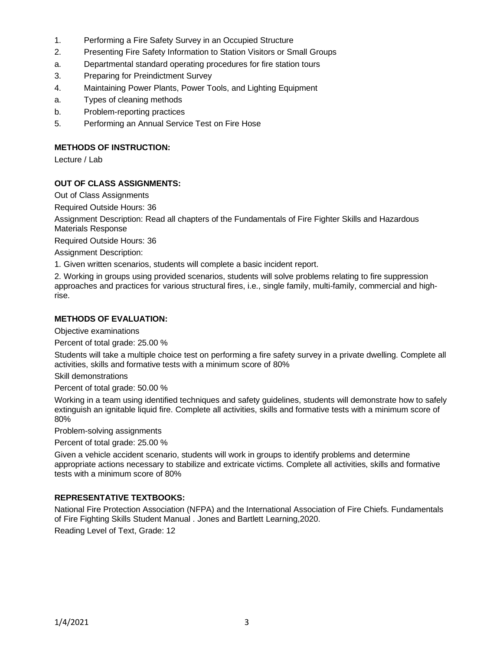- 1. Performing a Fire Safety Survey in an Occupied Structure
- 2. Presenting Fire Safety Information to Station Visitors or Small Groups
- a. Departmental standard operating procedures for fire station tours
- 3. Preparing for Preindictment Survey
- 4. Maintaining Power Plants, Power Tools, and Lighting Equipment
- a. Types of cleaning methods
- b. Problem-reporting practices
- 5. Performing an Annual Service Test on Fire Hose

## **METHODS OF INSTRUCTION:**

Lecture / Lab

# **OUT OF CLASS ASSIGNMENTS:**

Out of Class Assignments

Required Outside Hours: 36

Assignment Description: Read all chapters of the Fundamentals of Fire Fighter Skills and Hazardous Materials Response

Required Outside Hours: 36

Assignment Description:

1. Given written scenarios, students will complete a basic incident report.

2. Working in groups using provided scenarios, students will solve problems relating to fire suppression approaches and practices for various structural fires, i.e., single family, multi-family, commercial and highrise.

## **METHODS OF EVALUATION:**

Objective examinations

Percent of total grade: 25.00 %

Students will take a multiple choice test on performing a fire safety survey in a private dwelling. Complete all activities, skills and formative tests with a minimum score of 80%

Skill demonstrations

Percent of total grade: 50.00 %

Working in a team using identified techniques and safety guidelines, students will demonstrate how to safely extinguish an ignitable liquid fire. Complete all activities, skills and formative tests with a minimum score of 80%

Problem-solving assignments

Percent of total grade: 25.00 %

Given a vehicle accident scenario, students will work in groups to identify problems and determine appropriate actions necessary to stabilize and extricate victims. Complete all activities, skills and formative tests with a minimum score of 80%

# **REPRESENTATIVE TEXTBOOKS:**

National Fire Protection Association (NFPA) and the International Association of Fire Chiefs. Fundamentals of Fire Fighting Skills Student Manual . Jones and Bartlett Learning,2020.

Reading Level of Text, Grade: 12